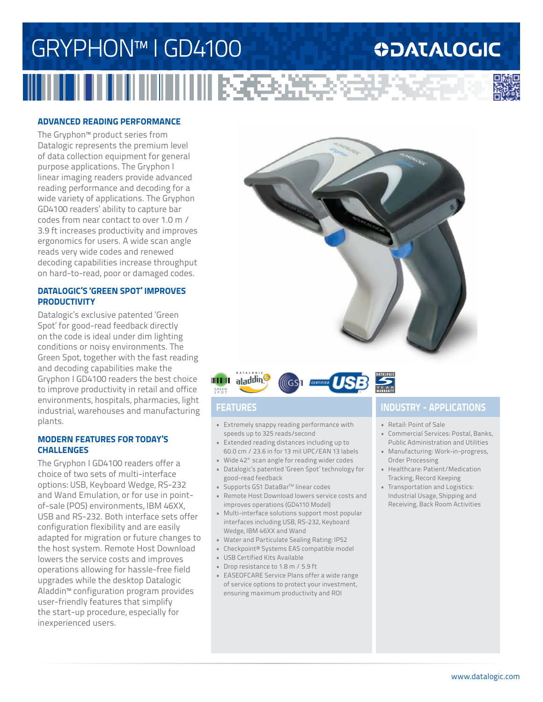## GRYPHON™ I GD4100 **ODATALOGIC THE RESIDENCE**

### **ADVANCED READING PERFORMANCE**

The Gryphon™ product series from Datalogic represents the premium level of data collection equipment for general purpose applications. The Gryphon I linear imaging readers provide advanced reading performance and decoding for a wide variety of applications. The Gryphon GD4100 readers' ability to capture bar codes from near contact to over 1.0 m / 3.9 ft increases productivity and improves ergonomics for users. A wide scan angle reads very wide codes and renewed decoding capabilities increase throughput on hard-to-read, poor or damaged codes.

### **DATALOGIC'S 'GREEN SPOT' IMPROVES PRODUCTIVITY**

Datalogic's exclusive patented 'Green Spot' for good-read feedback directly on the code is ideal under dim lighting conditions or noisy environments. The Green Spot, together with the fast reading and decoding capabilities make the Gryphon I GD4100 readers the best choice to improve productivity in retail and office environments, hospitals, pharmacies, light industrial, warehouses and manufacturing plants.

### **MODERN FEATURES FOR TODAY'S CHALLENGES**

The Gryphon I GD4100 readers offer a choice of two sets of multi-interface options: USB, Keyboard Wedge, RS-232 and Wand Emulation, or for use in pointof-sale (POS) environments, IBM 46XX, USB and RS-232. Both interface sets offer configuration flexibility and are easily adapted for migration or future changes to the host system. Remote Host Download lowers the service costs and improves operations allowing for hassle-free field upgrades while the desktop Datalogic Aladdin™ configuration program provides user-friendly features that simplify the start-up procedure, especially for inexperienced users.





- Extremely snappy reading performance with speeds up to 325 reads/second
- Extended reading distances including up to 60.0 cm / 23.6 in for 13 mil UPC/EAN 13 labels
- Wide 42° scan angle for reading wider codes • Datalogic's patented 'Green Spot' technology for
- good-read feedback
- Supports GS1 DataBar<sup>™</sup> linear codes
- Remote Host Download lowers service costs and improves operations (GD4110 Model)
- Multi-interface solutions support most popular interfaces including USB, RS-232, Keyboard Wedge, IBM 46XX and Wand
- Water and Particulate Sealing Rating: IP52
- Checkpoint® Systems EAS compatible model
- USB Certified Kits Available
- Drop resistance to 1.8 m / 5.9 ft
- EASEOFCARE Service Plans offer a wide range of service options to protect your investment, ensuring maximum productivity and ROI

## **FEATURES INDUSTRY - APPLICATIONS**

- Retail: Point of Sale
- Commercial Services: Postal, Banks, Public Administration and Utilities
- Manufacturing: Work-in-progress, Order Processing
- Healthcare: Patient/Medication Tracking, Record Keeping
- Transportation and Logistics: Industrial Usage, Shipping and Receiving, Back Room Activities